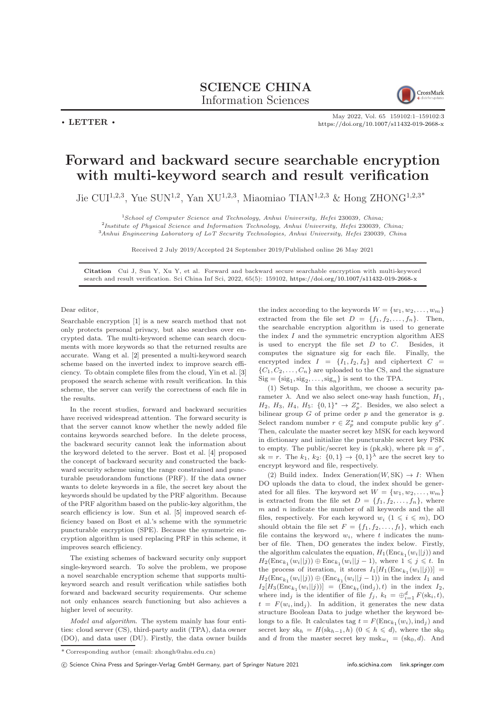## SCIENCE CHINA Information Sciences



 $\cdot$  LETTER  $\cdot$ 

May 2022, Vol. 65 159102:1–159102[:3](#page-2-0) <https://doi.org/10.1007/s11432-019-2668-x>

## Forward and backward secure searchable encryption with multi-keyword search and result verification

Jie CUI<sup>1,2,3</sup>, Yue SUN<sup>1,2</sup>, Yan XU<sup>1,2,3</sup>, Miaomiao TIAN<sup>1,2,3</sup> & Hong ZHONG<sup>1,2,3\*</sup>

 $1$ School of Computer Science and Technology, Anhui University, Hefei 230039, China;

<sup>2</sup>Institute of Physical Science and Information Technology, Anhui University, Hefei 230039, China;  $^3\!Anhui$  Engineering Laboratory of LoT Security Technologies, Anhui University, Hefei 230039, China

Received 2 July 2019/Accepted 24 September 2019/Published online 26 May 2021

Citation Cui J, Sun Y, Xu Y, et al. Forward and backward secure searchable encryption with multi-keyword search and result verification. Sci China Inf Sci, 2022, 65(5): 159102, <https://doi.org/10.1007/s11432-019-2668-x>

Dear editor,

Searchable encryption [\[1\]](#page-2-1) is a new search method that not only protects personal privacy, but also searches over encrypted data. The multi-keyword scheme can search documents with more keywords so that the returned results are accurate. Wang et al. [\[2\]](#page-2-2) presented a multi-keyword search scheme based on the inverted index to improve search efficiency. To obtain complete files from the cloud, Yin et al. [\[3\]](#page-2-3) proposed the search scheme with result verification. In this scheme, the server can verify the correctness of each file in the results.

In the recent studies, forward and backward securities have received widespread attention. The forward security is that the server cannot know whether the newly added file contains keywords searched before. In the delete process, the backward security cannot leak the information about the keyword deleted to the server. Bost et al. [\[4\]](#page-2-4) proposed the concept of backward security and constructed the backward security scheme using the range constrained and puncturable pseudorandom functions (PRF). If the data owner wants to delete keywords in a file, the secret key about the keywords should be updated by the PRF algorithm. Because of the PRF algorithm based on the public-key algorithm, the search efficiency is low. Sun et al. [\[5\]](#page-2-5) improved search efficiency based on Bost et al.'s scheme with the symmetric puncturable encryption (SPE). Because the symmetric encryption algorithm is used replacing PRF in this scheme, it improves search efficiency.

The existing schemes of backward security only support single-keyword search. To solve the problem, we propose a novel searchable encryption scheme that supports multikeyword search and result verification while satisfies both forward and backward security requirements. Our scheme not only enhances search functioning but also achieves a higher level of security.

Model and algorithm. The system mainly has four entities: cloud server (CS), third-party audit (TPA), data owner (DO), and data user (DU). Firstly, the data owner builds the index according to the keywords  $W = \{w_1, w_2, \ldots, w_m\}$ extracted from the file set  $D = \{f_1, f_2, \ldots, f_n\}$ . Then, the searchable encryption algorithm is used to generate the index  $I$  and the symmetric encryption algorithm AES is used to encrypt the file set  $D$  to  $C$ . Besides, it computes the signature sig for each file. Finally, the encrypted index  $I = \{I_1, I_2, I_3\}$  and ciphertext  $C =$  $\{C_1, C_2, \ldots, C_n\}$  are uploaded to the CS, and the signature  $\text{Sig} = \{\text{sig}_1, \text{sig}_2, \dots, \text{sig}_n\}$  is sent to the TPA.

(1) Setup. In this algorithm, we choose a security parameter  $\lambda$ . And we also select one-way hash function,  $H_1$ ,  $H_2$ ,  $H_3$ ,  $H_4$ ,  $H_5$ :  $\{0,1\}^* \rightarrow Z_p^*$ . Besides, we also select a bilinear group  $G$  of prime order  $p$  and the generator is  $g$ . Select random number  $r \in Z_p^*$  and compute public key  $g^r$ . Then, calculate the master secret key MSK for each keyword in dictionary and initialize the puncturable secret key PSK to empty. The public/secret key is (pk,sk), where  $pk = g<sup>r</sup>$ , sk = r. The  $k_1, k_2$ :  $\{0, 1\} \rightarrow \{0, 1\}^{\lambda}$  are the secret key to encrypt keyword and file, respectively.

(2) Build index. Index Generation( $W, SK$ )  $\rightarrow I$ : When DO uploads the data to cloud, the index should be generated for all files. The keyword set  $W = \{w_1, w_2, \ldots, w_m\}$ is extracted from the file set  $D = \{f_1, f_2, \ldots, f_n\}$ , where  $m$  and  $n$  indicate the number of all keywords and the all files, respectively. For each keyword  $w_i$   $(1 \leq i \leq m)$ , DO should obtain the file set  $F = \{f_1, f_2, \ldots, f_t\}$ , which each file contains the keyword  $w_i$ , where t indicates the number of file. Then, DO generates the index below. Firstly, the algorithm calculates the equation,  $H_1(\text{Enc}_{k_1}(w_i||j))$  and  $H_2(\text{Enc}_{k_1}(w_i||j)) \oplus \text{Enc}_{k_1}(w_i||j-1)$ , where  $1 \leqslant j \leqslant t$ . In the process of iteration, it stores  $I_1[H_1(\text{Enc}_{k_1}(w_i||j))] =$  $H_2(\text{Enc}_{k_1}(w_i||j)) \oplus (\text{Enc}_{k_1}(w_i||j-1))$  in the index  $I_1$  and  $I_2[H_3(\text{Enc}_{k_1}(w_i||j))] = (\text{Enc}_{k_t}(\text{ind}_j), t)$  in the index  $I_2$ , where  $\text{ind}_j$  is the identifier of file  $f_j$ ,  $k_t = \bigoplus_{i=1}^d F(\text{sk}_i, t)$ ,  $t = F(w_i, \text{ind}_j)$ . In addition, it generates the new data structure Boolean Data to judge whether the keyword belongs to a file. It calculates tag  $t = F(\text{Enc}_{k_1}(w_i), \text{ind}_j)$  and secret key sk<sub>h</sub> =  $H(\text{sk}_{h-1}, h)$  (0  $\leq h \leq d$ ), where the sk<sub>0</sub> and d from the master secret key  $msk_{w_i} = (sk_0, d)$ . And

\* Corresponding author (email: zhongh@ahu.edu.cn)

(C) Science China Press and Springer-Verlag GmbH Germany, part of Springer Nature 2021 <info.scichina.com><link.springer.com>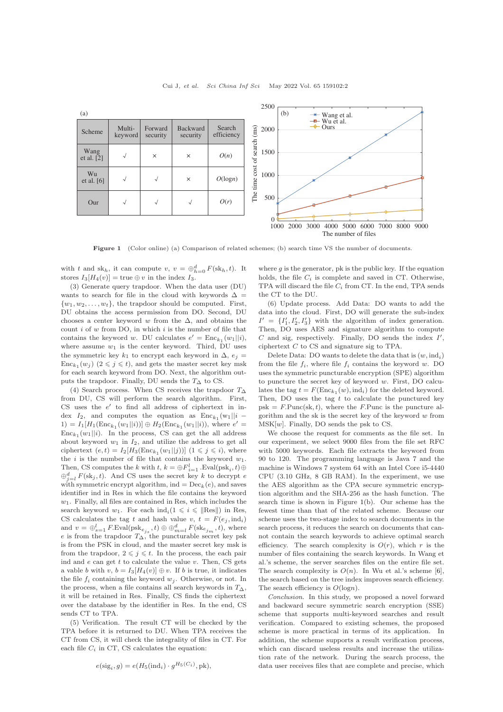<span id="page-1-0"></span>

Figure 1 (Color online) (a) Comparison of related schemes; (b) search time VS the number of documents.

with t and  $sk_h$ , it can compute  $v, v = \bigoplus_{h=0}^d F(sk_h, t)$ . It stores  $I_3[H_4(v)] = \text{true} \oplus v$  in the index  $I_3$ .

(3) Generate query trapdoor. When the data user (DU) wants to search for file in the cloud with keywords  $\Delta =$  $\{w_1, w_2, \ldots, w_t\}$ , the trapdoor should be computed. First, DU obtains the access permission from DO. Second, DU chooses a center keyword w from the  $\Delta$ , and obtains the count  $i$  of  $w$  from DO, in which  $i$  is the number of file that contains the keyword w. DU calculates  $e' = \text{Enc}_{k_1}(w_1||i)$ , where assume  $w_1$  is the center keyword. Third, DU uses the symmetric key  $k_1$  to encrypt each keyword in  $\Delta$ ,  $e_i$  =  $\text{Enc}_{k_1}(w_j)$   $(2 \leq j \leq t)$ , and gets the master secret key msk for each search keyword from DO. Next, the algorithm outputs the trapdoor. Finally, DU sends the  $T<sub>∆</sub>$  to CS.

(4) Search process. When CS receives the trapdoor  $T\Delta$ from DU, CS will perform the search algorithm. First,  $CS$  uses the  $e'$  to find all address of ciphertext in index  $I_2$ , and computes the equation as  $Enc_{k_1}(w_1||i -$ 1) =  $I_1[H_1(\text{Enc}_{k_1}(w_1||i))] \oplus H_2(\text{Enc}_{k_1}(w_1||i)),$  where  $e'$  =  $Enc_{k_1}(w_1||i)$ . In the process, CS can get the all address about keyword  $w_1$  in  $I_2$ , and utilize the address to get all ciphertext  $(e, t) = I_2[H_3(\text{Enc}_{k_1}(w_1||j))]$   $(1 \leq j \leq i)$ , where the *i* is the number of file that contains the keyword  $w_1$ . Then, CS computes the k with  $t, k = \bigoplus F_{i=1}^l$ . Eval $(\text{psk}_i, t) \oplus$  $\bigoplus_{j=l}^d F(\text{sk}_j, t)$ . And CS uses the secret key k to decrypt e with symmetric encrypt algorithm, ind =  $\text{Dec}_k(e)$ , and saves identifier ind in Res in which the file contains the keyword  $w_1$ . Finally, all files are contained in Res, which includes the search keyword  $w_1$ . For each  $\text{ind}_i(1 \leq i \leq ||\text{Res}||)$  in Res, CS calculates the tag t and hash value v,  $t = F(e_i, \text{ind}_i)$ and  $v = \bigoplus_{s=1}^{l} F \text{Eval}(\text{psk}_{e_{j_s}}, t) \oplus \bigoplus_{m=l}^{d} F(\text{sk}_{e_{j_m}}, t)$ , where e is from the trapdoor  $T_{\Delta}$ , the puncturable secret key psk is from the PSK in cloud, and the master secret key msk is from the trapdoor,  $2 \leq i \leq t$ . In the process, the each pair ind and  $e$  can get  $t$  to calculate the value  $v$ . Then, CS gets a vable b with v,  $b = I_3[H_4(v)] \oplus v$ . If b is true, it indicates the file  $f_i$  containing the keyword  $w_i$ . Otherwise, or not. In the process, when a file contains all search keywords in  $T_{\Delta}$ , it will be retained in Res. Finally, CS finds the ciphertext over the database by the identifier in Res. In the end, CS sends CT to TPA.

(5) Verification. The result CT will be checked by the TPA before it is returned to DU. When TPA receives the CT from CS, it will check the integrality of files in CT. For each file  $C_i$  in CT, CS calculates the equation:

$$
e(\text{sig}_i, g) = e(H_5(\text{ind}_i) \cdot g^{H_5(C_i)}, \text{pk}),
$$

where  $q$  is the generator, pk is the public key. If the equation holds, the file  $C_i$  is complete and saved in CT. Otherwise, TPA will discard the file  $C_i$  from CT. In the end, TPA sends the CT to the DU.

(6) Update process. Add Data: DO wants to add the data into the cloud. First, DO will generate the sub-index  $I' = \{I'_1, I'_2, I'_3\}$  with the algorithm of index generation. Then, DO uses AES and signature algorithm to compute  $C$  and sig, respectively. Finally, DO sends the index  $I'$ , ciphertext C to CS and signature sig to TPA.

Delete Data: DO wants to delete the data that is  $(w, \text{ind}_i)$ from the file  $f_i$ , where file  $f_i$  contains the keyword w. DO uses the symmetric puncturable encryption (SPE) algorithm to puncture the secret key of keyword w. First, DO calculates the tag  $t = F(\text{Enc}_{k_1}(w), \text{ind}_i)$  for the deleted keyword. Then, DO uses the tag  $t$  to calculate the punctured key  $psk = F.Punc(sk, t)$ , where the F.Punc is the puncture algorithm and the sk is the secret key of the keyword  $w$  from  $MSK[w]$ . Finally, DO sends the psk to CS.

We choose the request for comments as the file set. In our experiment, we select 9000 files from the file set RFC with 5000 keywords. Each file extracts the keyword from 90 to 120. The programming language is Java 7 and the machine is Windows 7 system 64 with an Intel Core i5-4440 CPU (3.10 GHz, 8 GB RAM). In the experiment, we use the AES algorithm as the CPA secure symmetric encryption algorithm and the SHA-256 as the hash function. The search time is shown in Figure [1\(](#page-1-0)b). Our scheme has the fewest time than that of the related scheme. Because our scheme uses the two-stage index to search documents in the search process, it reduces the search on documents that cannot contain the search keywords to achieve optimal search efficiency. The search complexity is  $O(r)$ , which r is the number of files containing the search keywords. In Wang et al.'s scheme, the server searches files on the entire file set. The search complexity is  $O(n)$ . In Wu et al.'s scheme [\[6\]](#page-2-6), the search based on the tree index improves search efficiency. The search efficiency is  $O(log n)$ .

Conclusion. In this study, we proposed a novel forward and backward secure symmetric search encryption (SSE) scheme that supports multi-keyword searches and result verification. Compared to existing schemes, the proposed scheme is more practical in terms of its application. In addition, the scheme supports a result verification process, which can discard useless results and increase the utilization rate of the network. During the search process, the data user receives files that are complete and precise, which